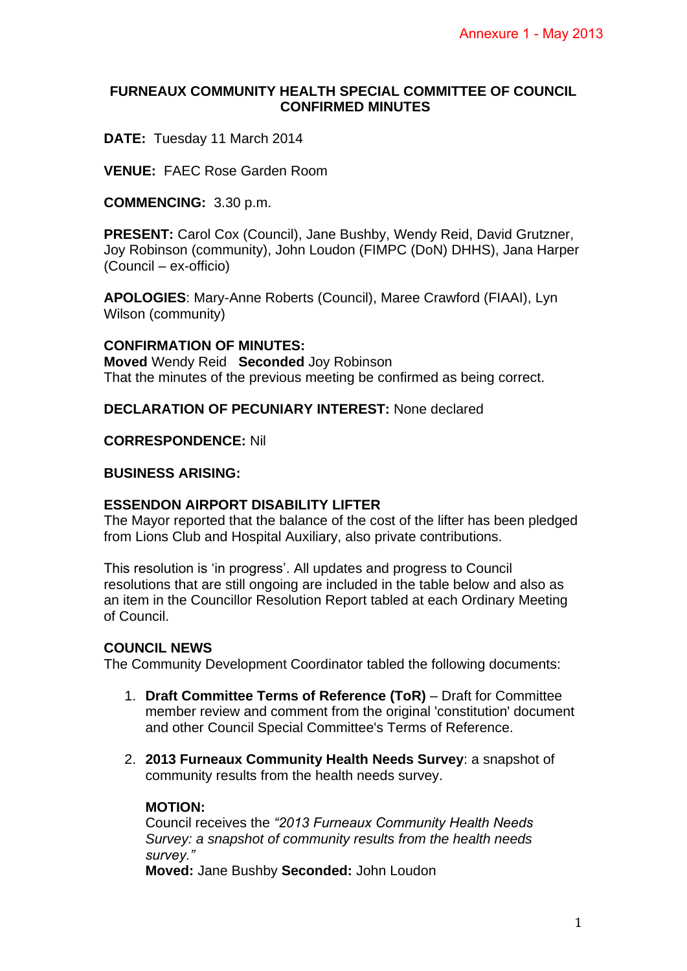## **FURNEAUX COMMUNITY HEALTH SPECIAL COMMITTEE OF COUNCIL CONFIRMED MINUTES**

**DATE:** Tuesday 11 March 2014

**VENUE:** FAEC Rose Garden Room

**COMMENCING:** 3.30 p.m.

**PRESENT:** Carol Cox (Council), Jane Bushby, Wendy Reid, David Grutzner, Joy Robinson (community), John Loudon (FIMPC (DoN) DHHS), Jana Harper (Council – ex-officio)

**APOLOGIES**: Mary-Anne Roberts (Council), Maree Crawford (FIAAI), Lyn Wilson (community)

### **CONFIRMATION OF MINUTES:**

**Moved** Wendy Reid **Seconded** Joy Robinson That the minutes of the previous meeting be confirmed as being correct.

**DECLARATION OF PECUNIARY INTEREST:** None declared

#### **CORRESPONDENCE:** Nil

### **BUSINESS ARISING:**

## **ESSENDON AIRPORT DISABILITY LIFTER**

The Mayor reported that the balance of the cost of the lifter has been pledged from Lions Club and Hospital Auxiliary, also private contributions.

This resolution is 'in progress'. All updates and progress to Council resolutions that are still ongoing are included in the table below and also as an item in the Councillor Resolution Report tabled at each Ordinary Meeting of Council.

#### **COUNCIL NEWS**

The Community Development Coordinator tabled the following documents:

- 1. **Draft Committee Terms of Reference (ToR)** Draft for Committee member review and comment from the original 'constitution' document and other Council Special Committee's Terms of Reference.
- 2. **2013 Furneaux Community Health Needs Survey**: a snapshot of community results from the health needs survey.

#### **MOTION:**

Council receives the *"2013 Furneaux Community Health Needs Survey: a snapshot of community results from the health needs survey."*

**Moved:** Jane Bushby **Seconded:** John Loudon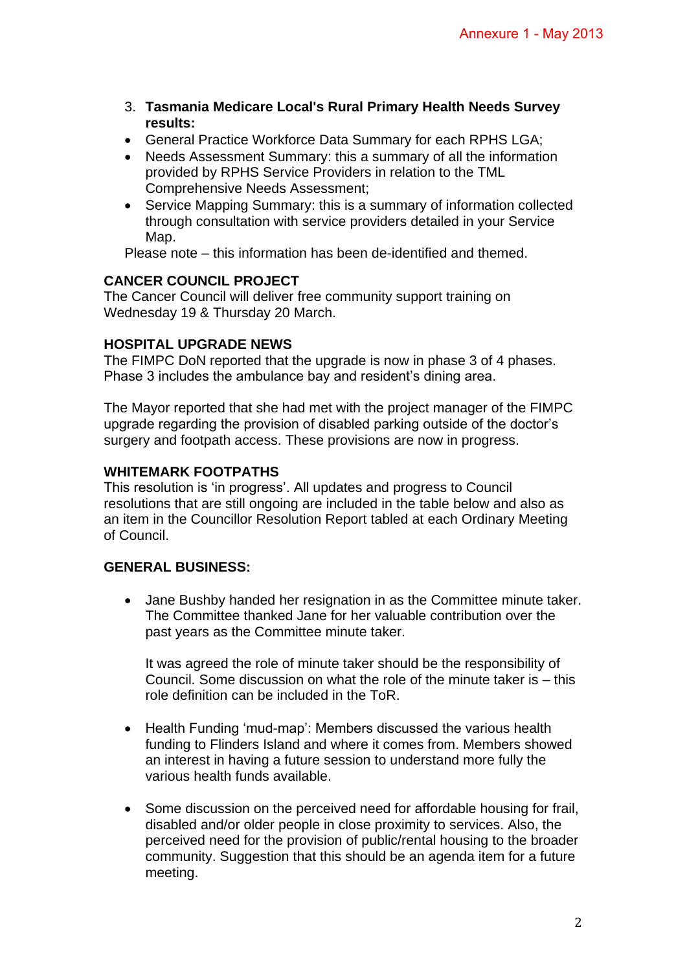- 3. **Tasmania Medicare Local's Rural Primary Health Needs Survey results:**
- General Practice Workforce Data Summary for each RPHS LGA;
- Needs Assessment Summary: this a summary of all the information provided by RPHS Service Providers in relation to the TML Comprehensive Needs Assessment;
- Service Mapping Summary: this is a summary of information collected through consultation with service providers detailed in your Service Map.

Please note – this information has been de-identified and themed.

# **CANCER COUNCIL PROJECT**

The Cancer Council will deliver free community support training on Wednesday 19 & Thursday 20 March.

# **HOSPITAL UPGRADE NEWS**

The FIMPC DoN reported that the upgrade is now in phase 3 of 4 phases. Phase 3 includes the ambulance bay and resident's dining area.

The Mayor reported that she had met with the project manager of the FIMPC upgrade regarding the provision of disabled parking outside of the doctor's surgery and footpath access. These provisions are now in progress.

## **WHITEMARK FOOTPATHS**

This resolution is 'in progress'. All updates and progress to Council resolutions that are still ongoing are included in the table below and also as an item in the Councillor Resolution Report tabled at each Ordinary Meeting of Council.

## **GENERAL BUSINESS:**

• Jane Bushby handed her resignation in as the Committee minute taker. The Committee thanked Jane for her valuable contribution over the past years as the Committee minute taker.

It was agreed the role of minute taker should be the responsibility of Council. Some discussion on what the role of the minute taker is – this role definition can be included in the ToR.

- Health Funding 'mud-map': Members discussed the various health funding to Flinders Island and where it comes from. Members showed an interest in having a future session to understand more fully the various health funds available.
- Some discussion on the perceived need for affordable housing for frail, disabled and/or older people in close proximity to services. Also, the perceived need for the provision of public/rental housing to the broader community. Suggestion that this should be an agenda item for a future meeting.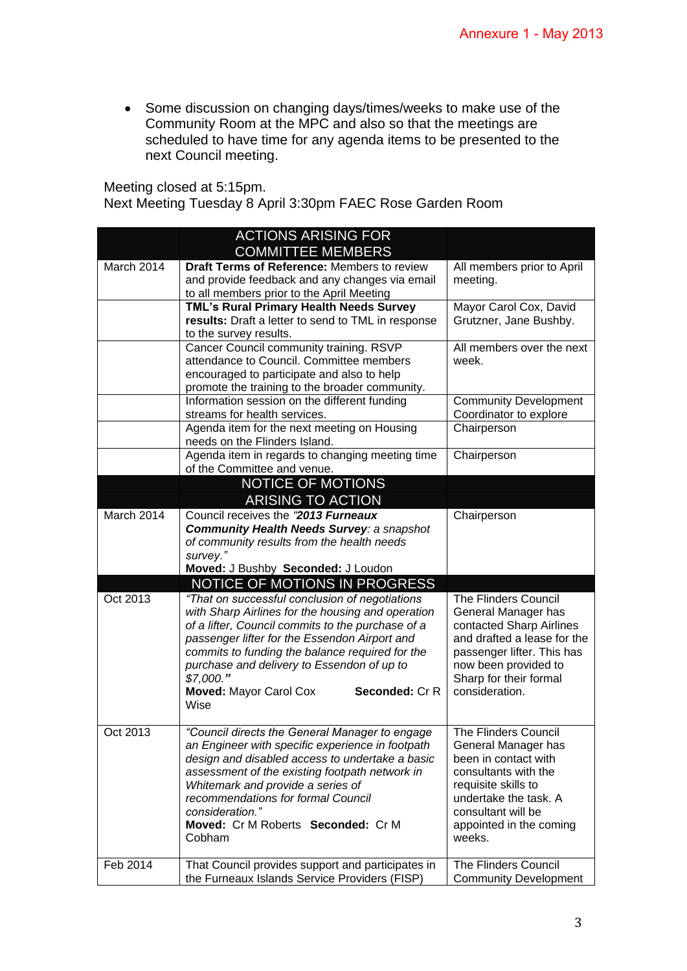Some discussion on changing days/times/weeks to make use of the Community Room at the MPC and also so that the meetings are scheduled to have time for any agenda items to be presented to the next Council meeting.

Meeting closed at 5:15pm.

Next Meeting Tuesday 8 April 3:30pm FAEC Rose Garden Room

|            | <b>ACTIONS ARISING FOR</b>                                                                         |                                              |
|------------|----------------------------------------------------------------------------------------------------|----------------------------------------------|
|            | <b>COMMITTEE MEMBERS</b>                                                                           |                                              |
| March 2014 | Draft Terms of Reference: Members to review                                                        | All members prior to April                   |
|            | and provide feedback and any changes via email                                                     | meeting.                                     |
|            | to all members prior to the April Meeting                                                          |                                              |
|            | TML's Rural Primary Health Needs Survey                                                            | Mayor Carol Cox, David                       |
|            | results: Draft a letter to send to TML in response                                                 | Grutzner, Jane Bushby.                       |
|            | to the survey results.                                                                             |                                              |
|            | Cancer Council community training. RSVP                                                            | All members over the next                    |
|            | attendance to Council. Committee members                                                           | week.                                        |
|            | encouraged to participate and also to help                                                         |                                              |
|            | promote the training to the broader community.                                                     |                                              |
|            | Information session on the different funding                                                       | <b>Community Development</b>                 |
|            | streams for health services.                                                                       | Coordinator to explore                       |
|            | Agenda item for the next meeting on Housing<br>needs on the Flinders Island.                       | Chairperson                                  |
|            | Agenda item in regards to changing meeting time<br>of the Committee and venue.                     | Chairperson                                  |
|            | <b>NOTICE OF MOTIONS</b>                                                                           |                                              |
|            | <b>ARISING TO ACTION</b>                                                                           |                                              |
| March 2014 | Council receives the "2013 Furneaux                                                                |                                              |
|            | <b>Community Health Needs Survey: a snapshot</b>                                                   | Chairperson                                  |
|            | of community results from the health needs                                                         |                                              |
|            | survey."                                                                                           |                                              |
|            | Moved: J Bushby Seconded: J Loudon                                                                 |                                              |
|            | NOTICE OF MOTIONS IN PROGRESS                                                                      |                                              |
| Oct 2013   | "That on successful conclusion of negotiations                                                     | The Flinders Council                         |
|            | with Sharp Airlines for the housing and operation                                                  | General Manager has                          |
|            | of a lifter, Council commits to the purchase of a                                                  | contacted Sharp Airlines                     |
|            | passenger lifter for the Essendon Airport and                                                      | and drafted a lease for the                  |
|            | commits to funding the balance required for the                                                    | passenger lifter. This has                   |
|            | purchase and delivery to Essendon of up to                                                         | now been provided to                         |
|            | \$7,000."                                                                                          | Sharp for their formal                       |
|            | <b>Moved: Mayor Carol Cox</b><br><b>Seconded: Cr R</b>                                             | consideration.                               |
|            | Wise                                                                                               |                                              |
|            |                                                                                                    |                                              |
| Oct 2013   | "Council directs the General Manager to engage                                                     | <b>The Flinders Council</b>                  |
|            | an Engineer with specific experience in footpath                                                   | General Manager has                          |
|            | design and disabled access to undertake a basic<br>assessment of the existing footpath network in  | been in contact with<br>consultants with the |
|            | Whitemark and provide a series of                                                                  | requisite skills to                          |
|            | recommendations for formal Council                                                                 | undertake the task. A                        |
|            | consideration."                                                                                    | consultant will be                           |
|            | Moved: Cr M Roberts Seconded: Cr M                                                                 | appointed in the coming                      |
|            | Cobham                                                                                             | weeks.                                       |
|            |                                                                                                    |                                              |
|            |                                                                                                    |                                              |
| Feb 2014   | That Council provides support and participates in<br>the Furneaux Islands Service Providers (FISP) | The Flinders Council                         |